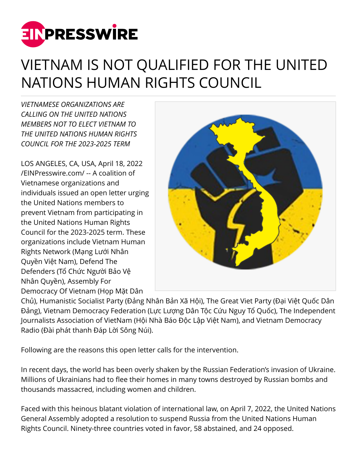

## VIETNAM IS NOT QUALIFIED FOR THE UNITED NATIONS HUMAN RIGHTS COUNCIL

*VIETNAMESE ORGANIZATIONS ARE CALLING ON THE UNITED NATIONS MEMBERS NOT TO ELECT VIETNAM TO THE UNITED NATIONS HUMAN RIGHTS COUNCIL FOR THE 2023-2025 TERM*

LOS ANGELES, CA, USA, April 18, 2022 [/EINPresswire.com/](http://www.einpresswire.com) -- A coalition of Vietnamese organizations and individuals issued an open letter urging the United Nations members to prevent Vietnam from participating in the United Nations Human Rights Council for the 2023-2025 term. These organizations include Vietnam Human Rights Network (Mạng Lưới Nhân Quyền Việt Nam), Defend The Defenders (Tổ Chức Người Bảo Vệ Nhân Quyền), Assembly For Democracy Of Vietnam (Họp Mặt Dân



Chủ), Humanistic Socialist Party (Đảng Nhân Bản Xã Hội), The Great Viet Party (Đại Việt Quốc Dân Đảng), Vietnam Democracy Federation (Lực Lượng Dân Tộc Cứu Nguy Tổ Quốc), The Independent Journalists Association of VietNam (Hội Nhà Báo Độc Lập Việt Nam), and Vietnam Democracy Radio (Đài phát thanh Đáp Lời Sông Núi).

Following are the reasons this open letter calls for the intervention.

In recent days, the world has been overly shaken by the Russian Federation's invasion of Ukraine. Millions of Ukrainians had to flee their homes in many towns destroyed by Russian bombs and thousands massacred, including women and children.

Faced with this heinous blatant violation of international law, on April 7, 2022, the United Nations General Assembly adopted a resolution to suspend Russia from the United Nations Human Rights Council. Ninety-three countries voted in favor, 58 abstained, and 24 opposed.